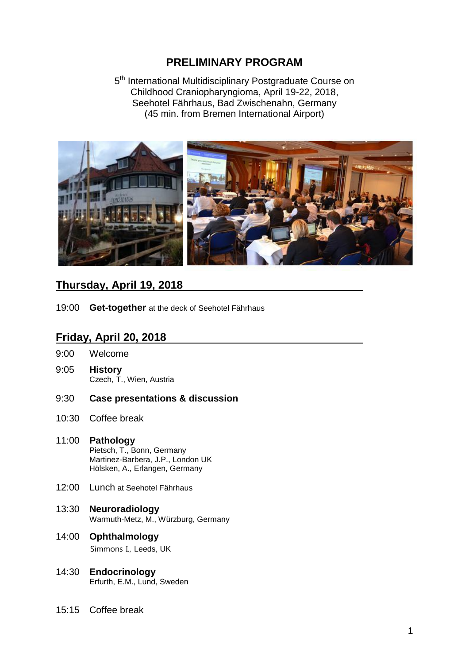# **PRELIMINARY PROGRAM**

5<sup>th</sup> International Multidisciplinary Postgraduate Course on Childhood Craniopharyngioma, April 19-22, 2018, Seehotel Fährhaus, Bad Zwischenahn, Germany (45 min. from Bremen International Airport)



## **Thursday, April 19, 2018**

19:00 **Get-together** at the deck of Seehotel Fährhaus

## **Friday, April 20, 2018**

- 9:00 Welcome
- 9:05 **History** Czech, T., Wien, Austria
- 9:30 **Case presentations & discussion**
- 10:30 Coffee break
- 11:00 **Pathology** Pietsch, T., Bonn, Germany Martinez-Barbera, J.P., London UK Hölsken, A., Erlangen, Germany
- 12:00 Lunch at Seehotel Fährhaus
- 13:30 **Neuroradiology** Warmuth-Metz, M., Würzburg, Germany
- 14:00 **Ophthalmology** Simmons I., Leeds, UK
- 14:30 **Endocrinology** Erfurth, E.M., Lund, Sweden
- 15:15 Coffee break